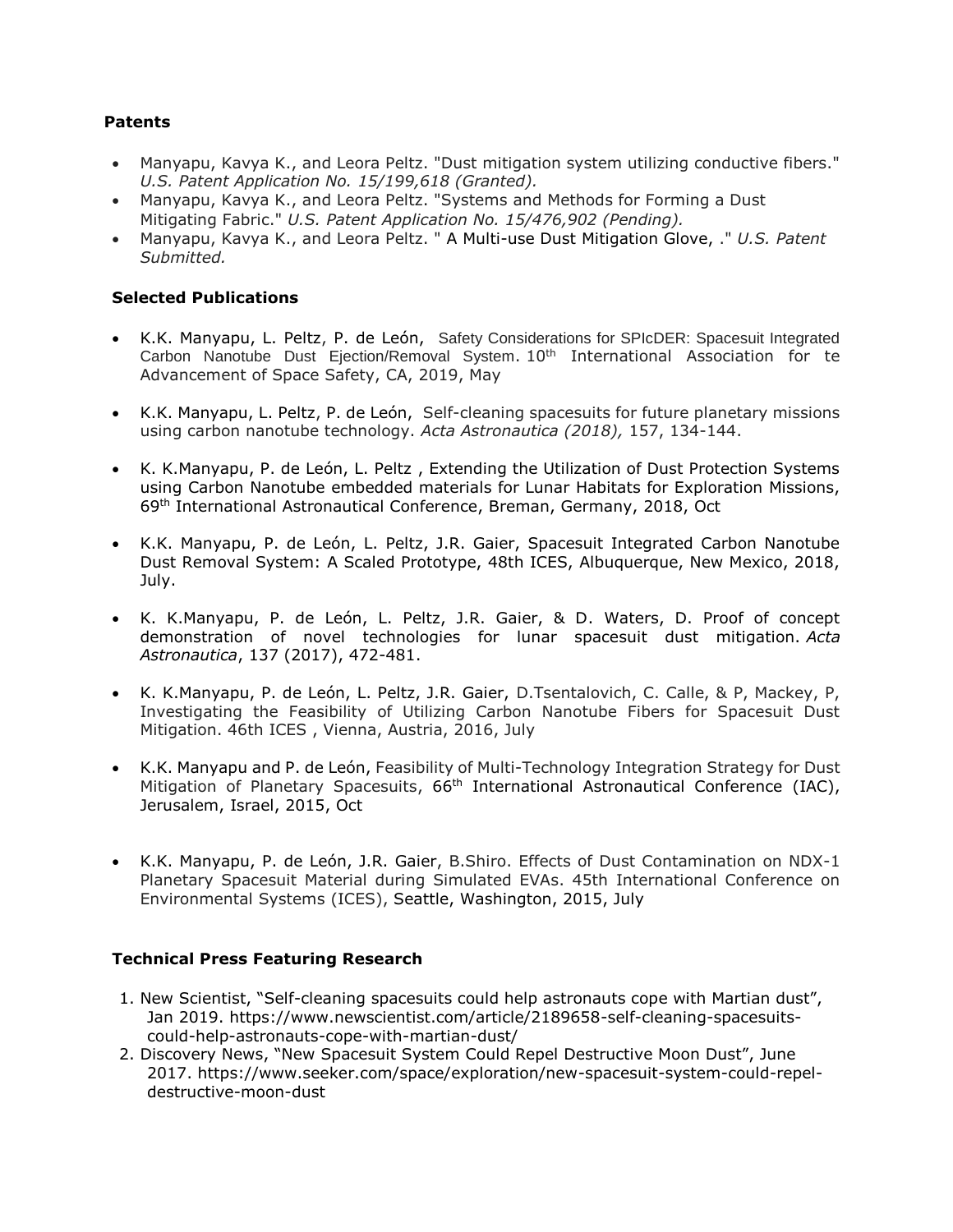## **Patents**

- Manyapu, Kavya K., and Leora Peltz. "Dust mitigation system utilizing conductive fibers." *U.S. Patent Application No. 15/199,618 (Granted).*
- Manyapu, Kavya K., and Leora Peltz. "Systems and Methods for Forming a Dust Mitigating Fabric." *U.S. Patent Application No. 15/476,902 (Pending).*
- Manyapu, Kavya K., and Leora Peltz. " A Multi-use Dust Mitigation Glove, ." *U.S. Patent Submitted.*

## **Selected Publications**

- K.K. Manyapu, L. Peltz, P. de León, Safety Considerations for SPIcDER: Spacesuit Integrated Carbon Nanotube Dust Ejection/Removal System.  $10<sup>th</sup>$  International Association for te Advancement of Space Safety, CA, 2019, May
- K.K. Manyapu, L. Peltz, P. de León, Self-cleaning spacesuits for future planetary missions using carbon nanotube technology. *Acta Astronautica (2018),* 157, 134-144.
- K. K.Manyapu, P. de León, L. Peltz , Extending the Utilization of Dust Protection Systems using Carbon Nanotube embedded materials for Lunar Habitats for Exploration Missions, 69th International Astronautical Conference, Breman, Germany, 2018, Oct
- K.K. Manyapu, P. de León, L. Peltz, J.R. Gaier, Spacesuit Integrated Carbon Nanotube Dust Removal System: A Scaled Prototype, 48th ICES, Albuquerque, New Mexico, 2018, July.
- K. K.Manyapu, P. de León, L. Peltz, J.R. Gaier, & D. Waters, D. Proof of concept demonstration of novel technologies for lunar spacesuit dust mitigation. *Acta Astronautica*, 137 (2017), 472-481.
- K. K.Manyapu, P. de León, L. Peltz, J.R. Gaier, D.Tsentalovich, C. Calle, & P, Mackey, P, Investigating the Feasibility of Utilizing Carbon Nanotube Fibers for Spacesuit Dust Mitigation. 46th ICES , Vienna, Austria, 2016, July
- K.K. Manyapu and P. de León, Feasibility of Multi-Technology Integration Strategy for Dust Mitigation of Planetary Spacesuits, 66<sup>th</sup> International Astronautical Conference (IAC), Jerusalem, Israel, 2015, Oct
- K.K. Manyapu, P. de León, J.R. Gaier, B.Shiro. Effects of Dust Contamination on NDX-1 Planetary Spacesuit Material during Simulated EVAs. 45th International Conference on Environmental Systems (ICES), Seattle, Washington, 2015, July

## **Technical Press Featuring Research**

- 1. New Scientist, "Self-cleaning spacesuits could help astronauts cope with Martian dust", Jan 2019. https://www.newscientist.com/article/2189658-self-cleaning-spacesuitscould-help-astronauts-cope-with-martian-dust/
- 2. Discovery News, "New Spacesuit System Could Repel Destructive Moon Dust", June 2017. https://www.seeker.com/space/exploration/new-spacesuit-system-could-repeldestructive-moon-dust